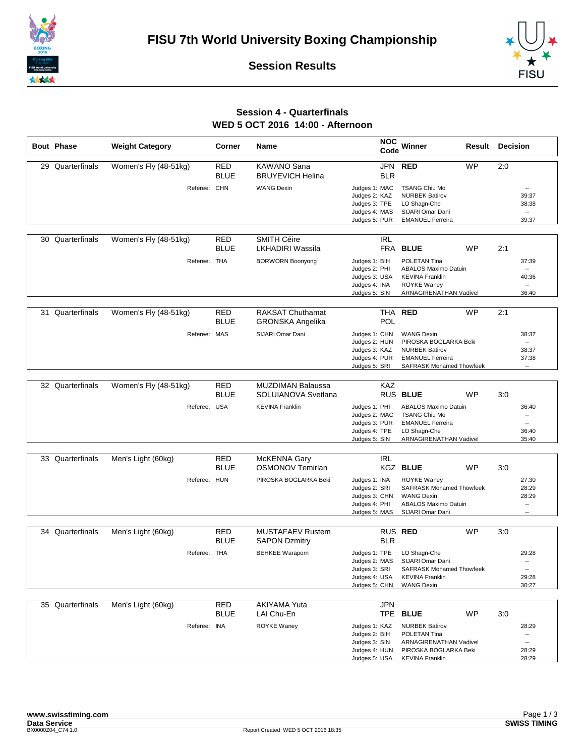





## **Session 4 - Quarterfinals WED 5 OCT 2016 14:00 - Afternoon**

| <b>Bout Phase</b> | <b>Weight Category</b> | Corner                    | <b>Name</b>                                        | <b>NOC</b><br>Code                                                                | Winner                                                                                                                            | Result    | <b>Decision</b>                                                                 |  |
|-------------------|------------------------|---------------------------|----------------------------------------------------|-----------------------------------------------------------------------------------|-----------------------------------------------------------------------------------------------------------------------------------|-----------|---------------------------------------------------------------------------------|--|
| 29 Quarterfinals  | Women's Fly (48-51kg)  | <b>RED</b><br><b>BLUE</b> | KAWANO Sana<br><b>BRUYEVICH Helina</b>             | JPN<br><b>BLR</b>                                                                 | <b>RED</b>                                                                                                                        | <b>WP</b> | 2:0                                                                             |  |
|                   | Referee: CHN           |                           | <b>WANG Dexin</b>                                  | Judges 1: MAC<br>Judges 2: KAZ<br>Judges 3: TPE<br>Judges 4: MAS<br>Judges 5: PUR | <b>TSANG Chiu Mo</b><br><b>NURBEK Batirov</b><br>LO Shagn-Che<br>SIJARI Omar Dani<br><b>EMANUEL Ferreira</b>                      |           | $\overline{\phantom{a}}$<br>39:37<br>38:38<br>$\overline{\phantom{a}}$<br>39:37 |  |
| 30 Quarterfinals  | Women's Fly (48-51kg)  | RED<br><b>BLUE</b>        | <b>SMITH Céire</b><br><b>LKHADIRI Wassila</b>      | <b>IRL</b><br><b>FRA</b>                                                          | <b>BLUE</b>                                                                                                                       | <b>WP</b> | 2:1                                                                             |  |
|                   | Referee: THA           |                           | <b>BORWORN Boonyong</b>                            | Judges 1: BIH<br>Judges 2: PHI<br>Judges 3: USA<br>Judges 4: INA<br>Judges 5: SIN | POLETAN Tina<br><b>ABALOS Maximo Datuin</b><br><b>KEVINA Franklin</b><br><b>ROYKE Waney</b><br>ARNAGIRENATHAN Vadivel             |           | 37:39<br>$\overline{\phantom{a}}$<br>40:36<br>$\overline{\phantom{a}}$<br>36:40 |  |
| 31 Quarterfinals  | Women's Fly (48-51kg)  | <b>RED</b><br><b>BLUE</b> | <b>RAKSAT Chuthamat</b><br><b>GRONSKA Angelika</b> | POL                                                                               | THA RED                                                                                                                           | <b>WP</b> | 2:1                                                                             |  |
|                   | Referee: MAS           |                           | SIJARI Omar Dani                                   | Judges 1: CHN<br>Judges 2: HUN<br>Judges 3: KAZ<br>Judges 4: PUR<br>Judges 5: SRI | <b>WANG Dexin</b><br>PIROSKA BOGLARKA Beki<br><b>NURBEK Batirov</b><br><b>EMANUEL Ferreira</b><br><b>SAFRASK Mohamed Thowfeek</b> |           | 38:37<br>$\overline{\phantom{a}}$<br>38:37<br>37:38<br>$\overline{\phantom{a}}$ |  |
| 32 Quarterfinals  | Women's Fly (48-51kg)  | <b>RED</b><br><b>BLUE</b> | <b>MUZDIMAN Balaussa</b><br>SOLUIANOVA Svetlana    | KAZ                                                                               | RUS BLUE                                                                                                                          | <b>WP</b> | 3:0                                                                             |  |
|                   | Referee: USA           |                           | <b>KEVINA Franklin</b>                             | Judges 1: PHI<br>Judges 2: MAC<br>Judges 3: PUR<br>Judges 4: TPE<br>Judges 5: SIN | <b>ABALOS Maximo Datuin</b><br><b>TSANG Chiu Mo</b><br><b>EMANUEL Ferreira</b><br>LO Shagn-Che<br>ARNAGIRENATHAN Vadivel          |           | 36:40<br>۰.<br>$\overline{\phantom{a}}$<br>36:40<br>35:40                       |  |
| 33 Quarterfinals  | Men's Light (60kg)     | <b>RED</b><br><b>BLUE</b> | McKENNA Gary<br><b>OSMONOV Temirlan</b>            | <b>IRL</b>                                                                        | <b>KGZ BLUE</b>                                                                                                                   | WP        | 3:0                                                                             |  |
|                   | Referee: HUN           |                           | PIROSKA BOGLARKA Beki                              | Judges 1: INA<br>Judges 2: SRI<br>Judges 3: CHN<br>Judges 4: PHI<br>Judges 5: MAS | <b>ROYKE Waney</b><br><b>SAFRASK Mohamed Thowfeek</b><br><b>WANG Dexin</b><br><b>ABALOS Maximo Datuin</b><br>SIJARI Omar Dani     |           | 27:30<br>28:29<br>28:29<br>$\overline{\phantom{a}}$<br>$\overline{\phantom{a}}$ |  |
| 34 Quarterfinals  | Men's Light (60kg)     | <b>RED</b>                | <b>MUSTAFAEV Rustem</b>                            |                                                                                   | RUS RED                                                                                                                           | <b>WP</b> | 3:0                                                                             |  |
|                   |                        | <b>BLUE</b>               | <b>SAPON Dzmitry</b>                               | <b>BLR</b>                                                                        |                                                                                                                                   |           |                                                                                 |  |
|                   | Referee: THA           |                           | <b>BEHKEE Waraporn</b>                             | Judges 1: TPE<br>Judges 2: MAS<br>Judges 3: SRI<br>Judges 4: USA<br>Judges 5: CHN | LO Shagn-Che<br>SIJARI Omar Dani<br>SAFRASK Mohamed Thowfeek<br><b>KEVINA Franklin</b><br><b>WANG Dexin</b>                       |           | 29:28<br>$\overline{\phantom{a}}$<br>$\overline{\phantom{a}}$<br>29:28<br>30:27 |  |
| 35 Quarterfinals  | Men's Light (60kg)     | <b>RED</b>                | AKIYAMA Yuta                                       | <b>JPN</b>                                                                        |                                                                                                                                   |           |                                                                                 |  |
|                   |                        | <b>BLUE</b>               | LAI Chu-En                                         | <b>TPE</b>                                                                        | <b>BLUE</b>                                                                                                                       | WP        | 3:0                                                                             |  |
|                   | Referee: INA           |                           | <b>ROYKE Waney</b>                                 | Judges 1: KAZ<br>Judges 2: BIH<br>Judges 3: SIN<br>Judges 4: HUN                  | <b>NURBEK Batirov</b><br>POLETAN Tina<br>ARNAGIRENATHAN Vadivel<br>PIROSKA BOGLARKA Beki                                          |           | 28:29<br>۰.<br>--<br>28:29                                                      |  |
|                   |                        |                           |                                                    | Judges 5: USA                                                                     | <b>KEVINA Franklin</b>                                                                                                            |           | 28:29                                                                           |  |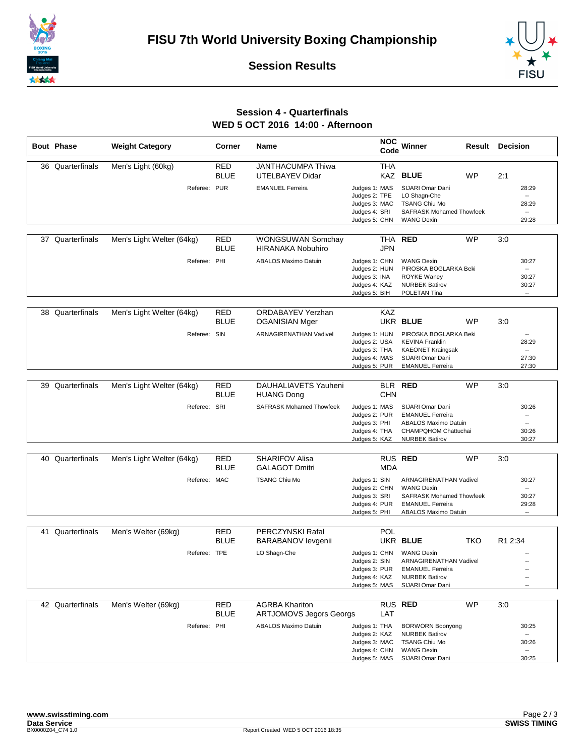





## **Session 4 - Quarterfinals WED 5 OCT 2016 14:00 - Afternoon**

|    | <b>Bout Phase</b> | <b>Weight Category</b>    | Corner             | Name                                                 | <b>NOC</b><br>Code             | Winner                                                 | Result         | <b>Decision</b>                                      |
|----|-------------------|---------------------------|--------------------|------------------------------------------------------|--------------------------------|--------------------------------------------------------|----------------|------------------------------------------------------|
|    | 36 Quarterfinals  | Men's Light (60kg)        | <b>RED</b>         | JANTHACUMPA Thiwa                                    | <b>THA</b>                     |                                                        |                |                                                      |
|    |                   |                           | <b>BLUE</b>        | UTELBAYEV Didar                                      |                                | <b>KAZ BLUE</b><br><b>WP</b>                           | 2:1            |                                                      |
|    |                   |                           |                    |                                                      |                                |                                                        |                |                                                      |
|    |                   |                           | Referee: PUR       | <b>EMANUEL Ferreira</b>                              | Judges 1: MAS<br>Judges 2: TPE | SIJARI Omar Dani<br>LO Shagn-Che                       |                | 28:29                                                |
|    |                   |                           |                    |                                                      | Judges 3: MAC                  | <b>TSANG Chiu Mo</b>                                   |                | 28:29                                                |
|    |                   |                           |                    |                                                      | Judges 4: SRI                  | <b>SAFRASK Mohamed Thowfeek</b>                        |                | −−                                                   |
|    |                   |                           |                    |                                                      | Judges 5: CHN                  | <b>WANG Dexin</b>                                      |                | 29:28                                                |
|    |                   |                           |                    |                                                      |                                |                                                        |                |                                                      |
|    | 37 Quarterfinals  | Men's Light Welter (64kg) | RED<br><b>BLUE</b> | <b>WONGSUWAN Somchay</b><br><b>HIRANAKA Nobuhiro</b> | THA<br><b>JPN</b>              | <b>RED</b><br><b>WP</b>                                | 3:0            |                                                      |
|    |                   |                           | Referee: PHI       | <b>ABALOS Maximo Datuin</b>                          | Judges 1: CHN                  | <b>WANG Dexin</b>                                      |                | 30:27                                                |
|    |                   |                           |                    |                                                      | Judges 2: HUN                  | PIROSKA BOGLARKA Beki                                  |                | −−                                                   |
|    |                   |                           |                    |                                                      | Judges 3: INA                  | <b>ROYKE Waney</b>                                     |                | 30:27                                                |
|    |                   |                           |                    |                                                      | Judges 4: KAZ<br>Judges 5: BIH | <b>NURBEK Batirov</b><br>POLETAN Tina                  |                | 30:27<br>$\overline{\phantom{a}}$                    |
|    |                   |                           |                    |                                                      |                                |                                                        |                |                                                      |
|    | 38 Quarterfinals  | Men's Light Welter (64kg) | RED                | <b>ORDABAYEV Yerzhan</b>                             | KAZ                            |                                                        |                |                                                      |
|    |                   |                           | <b>BLUE</b>        | <b>OGANISIAN Mger</b>                                |                                | UKR BLUE<br><b>WP</b>                                  | 3:0            |                                                      |
|    |                   |                           | Referee: SIN       | <b>ARNAGIRENATHAN Vadivel</b>                        | Judges 1: HUN                  | PIROSKA BOGLARKA Beki                                  |                |                                                      |
|    |                   |                           |                    |                                                      | Judges 2: USA                  | <b>KEVINA Franklin</b>                                 |                | 28:29                                                |
|    |                   |                           |                    |                                                      | Judges 3: THA                  | <b>KAEONET Kraingsak</b>                               |                | $\overline{\phantom{a}}$                             |
|    |                   |                           |                    |                                                      | Judges 4: MAS                  | SIJARI Omar Dani                                       |                | 27:30                                                |
|    |                   |                           |                    |                                                      | Judges 5: PUR                  | <b>EMANUEL Ferreira</b>                                |                | 27:30                                                |
|    |                   |                           |                    |                                                      |                                |                                                        |                |                                                      |
|    | 39 Quarterfinals  | Men's Light Welter (64kg) | RED                | DAUHALIAVETS Yauheni                                 | <b>BLR</b>                     | <b>RED</b><br><b>WP</b>                                | 3:0            |                                                      |
|    |                   |                           | <b>BLUE</b>        | <b>HUANG Dong</b>                                    | <b>CHN</b>                     |                                                        |                |                                                      |
|    |                   |                           | Referee: SRI       | <b>SAFRASK Mohamed Thowfeek</b>                      | Judges 1: MAS                  | SIJARI Omar Dani                                       |                | 30:26                                                |
|    |                   |                           |                    |                                                      | Judges 2: PUR<br>Judges 3: PHI | <b>EMANUEL Ferreira</b><br><b>ABALOS Maximo Datuin</b> |                | $\overline{\phantom{a}}$<br>$\overline{\phantom{a}}$ |
|    |                   |                           |                    |                                                      | Judges 4: THA                  | CHAMPQHOM Chattuchai                                   |                | 30:26                                                |
|    |                   |                           |                    |                                                      | Judges 5: KAZ                  | <b>NURBEK Batirov</b>                                  |                | 30:27                                                |
|    |                   |                           |                    |                                                      |                                |                                                        |                |                                                      |
|    | 40 Quarterfinals  | Men's Light Welter (64kg) | RED                | <b>SHARIFOV Alisa</b>                                |                                | RUS RED<br><b>WP</b>                                   | 3:0            |                                                      |
|    |                   |                           | <b>BLUE</b>        | <b>GALAGOT Dmitri</b>                                | <b>MDA</b>                     |                                                        |                |                                                      |
|    |                   |                           | Referee: MAC       | <b>TSANG Chiu Mo</b>                                 | Judges 1: SIN                  | ARNAGIRENATHAN Vadivel                                 |                | 30:27                                                |
|    |                   |                           |                    |                                                      | Judges 2: CHN                  | <b>WANG Dexin</b>                                      |                |                                                      |
|    |                   |                           |                    |                                                      | Judges 3: SRI                  | <b>SAFRASK Mohamed Thowfeek</b>                        |                | 30:27                                                |
|    |                   |                           |                    |                                                      | Judges 4: PUR<br>Judges 5: PHI | <b>EMANUEL Ferreira</b><br><b>ABALOS Maximo Datuin</b> |                | 29:28<br>$\overline{\phantom{a}}$                    |
|    |                   |                           |                    |                                                      |                                |                                                        |                |                                                      |
| 41 | Quarterfinals     | Men's Welter (69kg)       | <b>RED</b>         | PERCZYNSKI Rafal                                     | POL                            |                                                        |                |                                                      |
|    |                   |                           | <b>BLUE</b>        | <b>BARABANOV</b> levgenii                            |                                | UKR BLUE                                               | TKO<br>R1 2:34 |                                                      |
|    |                   |                           | Referee: TPE       | LO Shagn-Che                                         | Judges 1: CHN                  | <b>WANG Dexin</b>                                      |                |                                                      |
|    |                   |                           |                    |                                                      | Judges 2: SIN                  | <b>ARNAGIRENATHAN Vadivel</b>                          |                |                                                      |
|    |                   |                           |                    |                                                      | Judges 3: PUR                  | <b>EMANUEL Ferreira</b>                                |                |                                                      |
|    |                   |                           |                    |                                                      | Judges 4: KAZ                  | <b>NURBEK Batirov</b>                                  |                | $\overline{\phantom{a}}$                             |
|    |                   |                           |                    |                                                      | Judges 5: MAS                  | SIJARI Omar Dani                                       |                |                                                      |
|    |                   |                           |                    |                                                      |                                |                                                        |                |                                                      |
|    | 42 Quarterfinals  | Men's Welter (69kg)       | <b>RED</b>         | <b>AGRBA Khariton</b>                                |                                | RUS RED<br><b>WP</b>                                   | 3:0            |                                                      |
|    |                   |                           | <b>BLUE</b>        | <b>ARTJOMOVS Jegors Georgs</b>                       | LAT                            |                                                        |                |                                                      |
|    |                   |                           | Referee: PHI       | <b>ABALOS Maximo Datuin</b>                          | Judges 1: THA                  | <b>BORWORN Boonyong</b>                                |                | 30:25                                                |
|    |                   |                           |                    |                                                      | Judges 2: KAZ                  | <b>NURBEK Batirov</b>                                  |                |                                                      |
|    |                   |                           |                    |                                                      | Judges 3: MAC<br>Judges 4: CHN | <b>TSANG Chiu Mo</b><br><b>WANG Dexin</b>              |                | 30:26<br>                                            |
|    |                   |                           |                    |                                                      | Judges 5: MAS                  | SIJARI Omar Dani                                       |                | 30:25                                                |